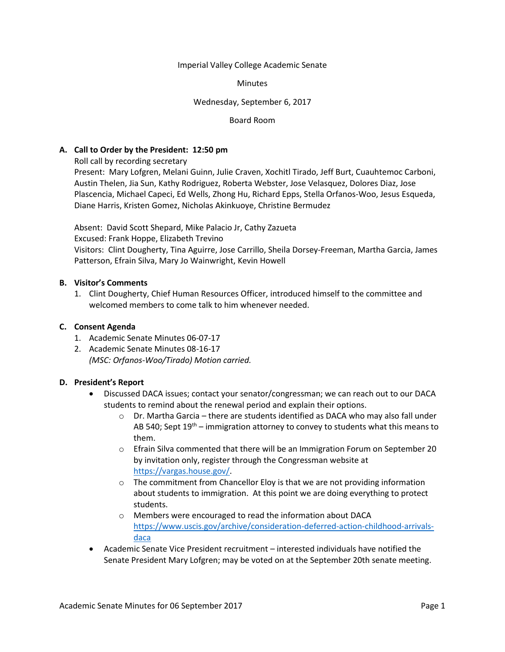Imperial Valley College Academic Senate

**Minutes** 

Wednesday, September 6, 2017

Board Room

#### **A. Call to Order by the President: 12:50 pm**

Roll call by recording secretary

Present: Mary Lofgren, Melani Guinn, Julie Craven, Xochitl Tirado, Jeff Burt, Cuauhtemoc Carboni, Austin Thelen, Jia Sun, Kathy Rodriguez, Roberta Webster, Jose Velasquez, Dolores Diaz, Jose Plascencia, Michael Capeci, Ed Wells, Zhong Hu, Richard Epps, Stella Orfanos-Woo, Jesus Esqueda, Diane Harris, Kristen Gomez, Nicholas Akinkuoye, Christine Bermudez

Absent: David Scott Shepard, Mike Palacio Jr, Cathy Zazueta Excused: Frank Hoppe, Elizabeth Trevino Visitors: Clint Dougherty, Tina Aguirre, Jose Carrillo, Sheila Dorsey-Freeman, Martha Garcia, James Patterson, Efrain Silva, Mary Jo Wainwright, Kevin Howell

#### **B. Visitor's Comments**

1. Clint Dougherty, Chief Human Resources Officer, introduced himself to the committee and welcomed members to come talk to him whenever needed.

#### **C. Consent Agenda**

- 1. Academic Senate Minutes 06-07-17
- 2. Academic Senate Minutes 08-16-17 *(MSC: Orfanos-Woo/Tirado) Motion carried.*

# **D. President's Report**

- Discussed DACA issues; contact your senator/congressman; we can reach out to our DACA students to remind about the renewal period and explain their options.
	- $\circ$  Dr. Martha Garcia there are students identified as DACA who may also fall under AB 540; Sept  $19<sup>th</sup>$  – immigration attorney to convey to students what this means to them.
	- $\circ$  Efrain Silva commented that there will be an Immigration Forum on September 20 by invitation only, register through the Congressman website at [https://vargas.house.gov/.](https://vargas.house.gov/)
	- $\circ$  The commitment from Chancellor Eloy is that we are not providing information about students to immigration. At this point we are doing everything to protect students.
	- o Members were encouraged to read the information about DACA [https://www.uscis.gov/archive/consideration-deferred-action-childhood-arrivals](https://www.uscis.gov/archive/consideration-deferred-action-childhood-arrivals-daca)[daca](https://www.uscis.gov/archive/consideration-deferred-action-childhood-arrivals-daca)
- Academic Senate Vice President recruitment interested individuals have notified the Senate President Mary Lofgren; may be voted on at the September 20th senate meeting.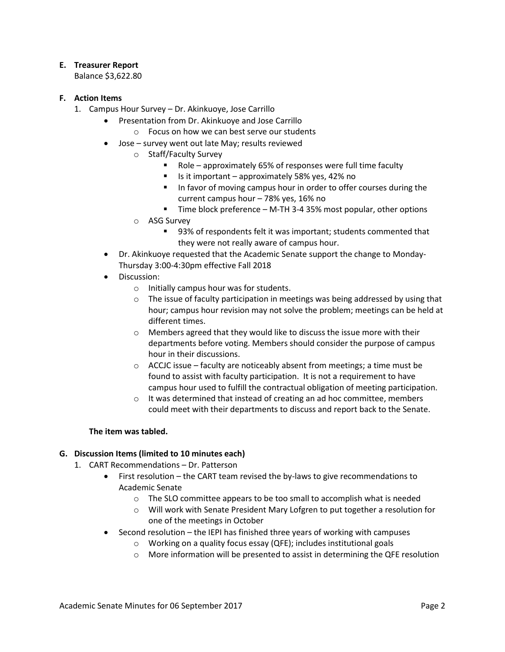# **E. Treasurer Report**

Balance \$3,622.80

# **F. Action Items**

- 1. Campus Hour Survey Dr. Akinkuoye, Jose Carrillo
	- Presentation from Dr. Akinkuoye and Jose Carrillo
		- o Focus on how we can best serve our students
	- Jose survey went out late May; results reviewed
		- o Staff/Faculty Survey
			- Role approximately 65% of responses were full time faculty
			- Is it important approximately 58% yes, 42% no
			- In favor of moving campus hour in order to offer courses during the current campus hour – 78% yes, 16% no
			- Time block preference M-TH 3-4 35% most popular, other options
		- o ASG Survey
			- 93% of respondents felt it was important; students commented that they were not really aware of campus hour.
	- Dr. Akinkuoye requested that the Academic Senate support the change to Monday-Thursday 3:00-4:30pm effective Fall 2018
	- Discussion:
		- o Initially campus hour was for students.
		- $\circ$  The issue of faculty participation in meetings was being addressed by using that hour; campus hour revision may not solve the problem; meetings can be held at different times.
		- o Members agreed that they would like to discuss the issue more with their departments before voting. Members should consider the purpose of campus hour in their discussions.
		- $\circ$  ACCJC issue faculty are noticeably absent from meetings; a time must be found to assist with faculty participation. It is not a requirement to have campus hour used to fulfill the contractual obligation of meeting participation.
		- o It was determined that instead of creating an ad hoc committee, members could meet with their departments to discuss and report back to the Senate.

# **The item was tabled.**

# **G. Discussion Items (limited to 10 minutes each)**

- 1. CART Recommendations Dr. Patterson
	- First resolution the CART team revised the by-laws to give recommendations to Academic Senate
		- o The SLO committee appears to be too small to accomplish what is needed
		- o Will work with Senate President Mary Lofgren to put together a resolution for one of the meetings in October
	- Second resolution the IEPI has finished three years of working with campuses
		- o Working on a quality focus essay (QFE); includes institutional goals
		- o More information will be presented to assist in determining the QFE resolution